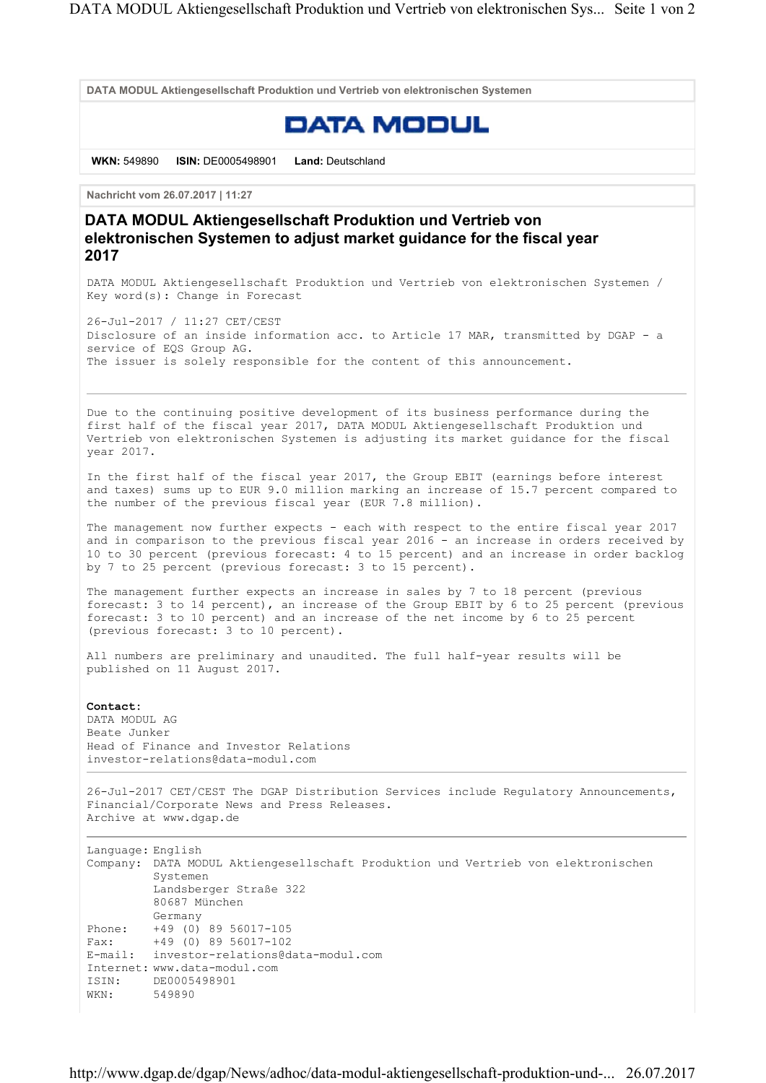